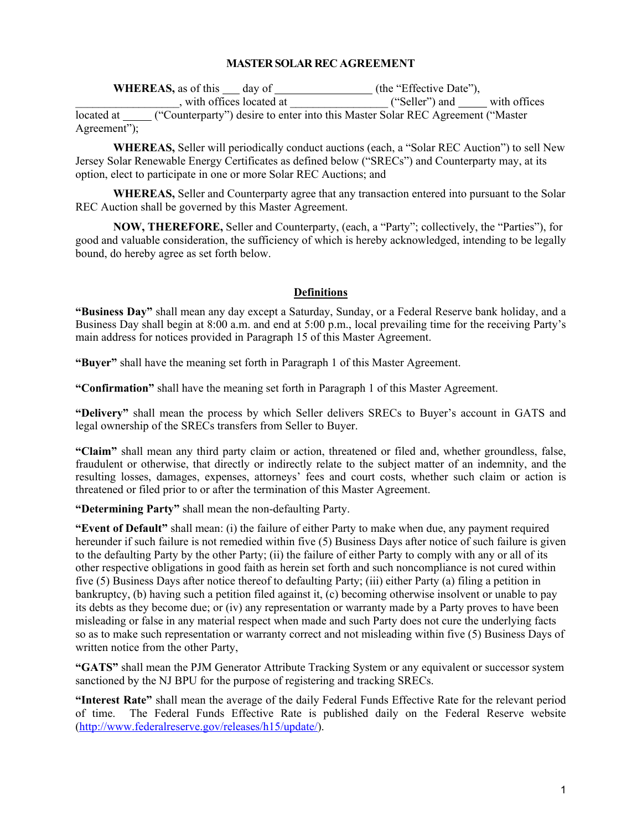# **MASTER SOLAR REC AGREEMENT**

| <b>WHEREAS</b> , as of this day of                                                             | (the "Effective Date"),        |
|------------------------------------------------------------------------------------------------|--------------------------------|
| with offices located at                                                                        | with offices<br>("Seller") and |
| ("Counterparty") desire to enter into this Master Solar REC Agreement ("Master")<br>located at |                                |
| Agreement");                                                                                   |                                |

**WHEREAS,** Seller will periodically conduct auctions (each, a "Solar REC Auction") to sell New Jersey Solar Renewable Energy Certificates as defined below ("SRECs") and Counterparty may, at its option, elect to participate in one or more Solar REC Auctions; and

**WHEREAS,** Seller and Counterparty agree that any transaction entered into pursuant to the Solar REC Auction shall be governed by this Master Agreement.

**NOW, THEREFORE,** Seller and Counterparty, (each, a "Party"; collectively, the "Parties"), for good and valuable consideration, the sufficiency of which is hereby acknowledged, intending to be legally bound, do hereby agree as set forth below.

## **Definitions**

**"Business Day"** shall mean any day except a Saturday, Sunday, or a Federal Reserve bank holiday, and a Business Day shall begin at 8:00 a.m. and end at 5:00 p.m., local prevailing time for the receiving Party's main address for notices provided in Paragraph 15 of this Master Agreement.

**"Buyer"** shall have the meaning set forth in Paragraph 1 of this Master Agreement.

**"Confirmation"** shall have the meaning set forth in Paragraph 1 of this Master Agreement.

**"Delivery"** shall mean the process by which Seller delivers SRECs to Buyer's account in GATS and legal ownership of the SRECs transfers from Seller to Buyer.

**"Claim"** shall mean any third party claim or action, threatened or filed and, whether groundless, false, fraudulent or otherwise, that directly or indirectly relate to the subject matter of an indemnity, and the resulting losses, damages, expenses, attorneys' fees and court costs, whether such claim or action is threatened or filed prior to or after the termination of this Master Agreement.

**"Determining Party"** shall mean the non-defaulting Party.

**"Event of Default"** shall mean: (i) the failure of either Party to make when due, any payment required hereunder if such failure is not remedied within five (5) Business Days after notice of such failure is given to the defaulting Party by the other Party; (ii) the failure of either Party to comply with any or all of its other respective obligations in good faith as herein set forth and such noncompliance is not cured within five (5) Business Days after notice thereof to defaulting Party; (iii) either Party (a) filing a petition in bankruptcy, (b) having such a petition filed against it, (c) becoming otherwise insolvent or unable to pay its debts as they become due; or (iv) any representation or warranty made by a Party proves to have been misleading or false in any material respect when made and such Party does not cure the underlying facts so as to make such representation or warranty correct and not misleading within five (5) Business Days of written notice from the other Party,

**"GATS"** shall mean the PJM Generator Attribute Tracking System or any equivalent or successor system sanctioned by the NJ BPU for the purpose of registering and tracking SRECs.

**"Interest Rate"** shall mean the average of the daily Federal Funds Effective Rate for the relevant period of time. The Federal Funds Effective Rate is published daily on the Federal Reserve website [\(http://www.federalreserve.gov/releases/h15/update/\)](http://www.federalreserve.gov/releases/h15/update/).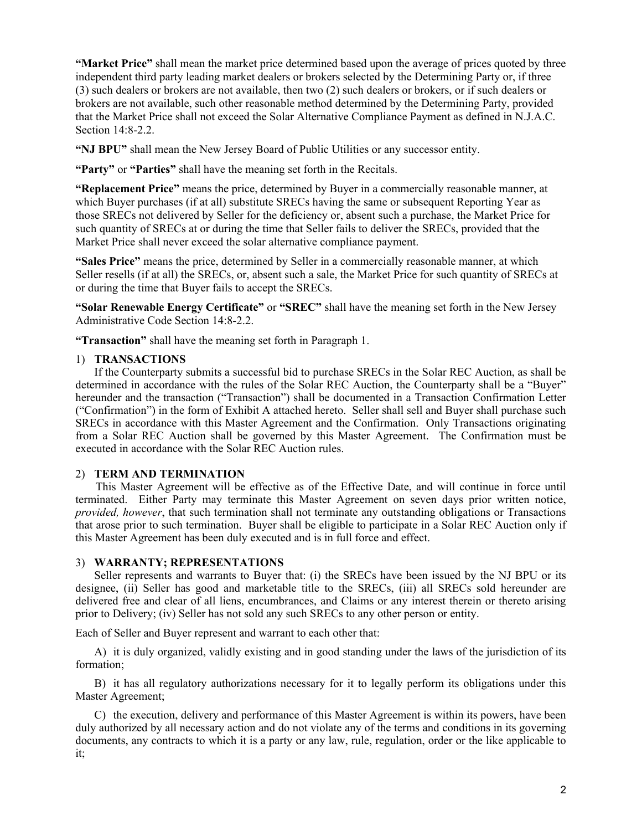**"Market Price"** shall mean the market price determined based upon the average of prices quoted by three independent third party leading market dealers or brokers selected by the Determining Party or, if three (3) such dealers or brokers are not available, then two (2) such dealers or brokers, or if such dealers or brokers are not available, such other reasonable method determined by the Determining Party, provided that the Market Price shall not exceed the Solar Alternative Compliance Payment as defined in N.J.A.C. Section 14:8-2.2.

**"NJ BPU"** shall mean the New Jersey Board of Public Utilities or any successor entity.

**"Party"** or **"Parties"** shall have the meaning set forth in the Recitals.

**"Replacement Price"** means the price, determined by Buyer in a commercially reasonable manner, at which Buyer purchases (if at all) substitute SRECs having the same or subsequent Reporting Year as those SRECs not delivered by Seller for the deficiency or, absent such a purchase, the Market Price for such quantity of SRECs at or during the time that Seller fails to deliver the SRECs, provided that the Market Price shall never exceed the solar alternative compliance payment.

**"Sales Price"** means the price, determined by Seller in a commercially reasonable manner, at which Seller resells (if at all) the SRECs, or, absent such a sale, the Market Price for such quantity of SRECs at or during the time that Buyer fails to accept the SRECs.

**"Solar Renewable Energy Certificate"** or **"SREC"** shall have the meaning set forth in the New Jersey Administrative Code Section 14:8-2.2.

**"Transaction"** shall have the meaning set forth in Paragraph 1.

## 1) **TRANSACTIONS**

If the Counterparty submits a successful bid to purchase SRECs in the Solar REC Auction, as shall be determined in accordance with the rules of the Solar REC Auction, the Counterparty shall be a "Buyer" hereunder and the transaction ("Transaction") shall be documented in a Transaction Confirmation Letter ("Confirmation") in the form of Exhibit A attached hereto. Seller shall sell and Buyer shall purchase such SRECs in accordance with this Master Agreement and the Confirmation. Only Transactions originating from a Solar REC Auction shall be governed by this Master Agreement. The Confirmation must be executed in accordance with the Solar REC Auction rules.

# 2) **TERM AND TERMINATION**

This Master Agreement will be effective as of the Effective Date, and will continue in force until terminated. Either Party may terminate this Master Agreement on seven days prior written notice, *provided, however*, that such termination shall not terminate any outstanding obligations or Transactions that arose prior to such termination. Buyer shall be eligible to participate in a Solar REC Auction only if this Master Agreement has been duly executed and is in full force and effect.

# 3) **WARRANTY; REPRESENTATIONS**

Seller represents and warrants to Buyer that: (i) the SRECs have been issued by the NJ BPU or its designee, (ii) Seller has good and marketable title to the SRECs, (iii) all SRECs sold hereunder are delivered free and clear of all liens, encumbrances, and Claims or any interest therein or thereto arising prior to Delivery; (iv) Seller has not sold any such SRECs to any other person or entity.

Each of Seller and Buyer represent and warrant to each other that:

A) it is duly organized, validly existing and in good standing under the laws of the jurisdiction of its formation;

B) it has all regulatory authorizations necessary for it to legally perform its obligations under this Master Agreement;

C) the execution, delivery and performance of this Master Agreement is within its powers, have been duly authorized by all necessary action and do not violate any of the terms and conditions in its governing documents, any contracts to which it is a party or any law, rule, regulation, order or the like applicable to it;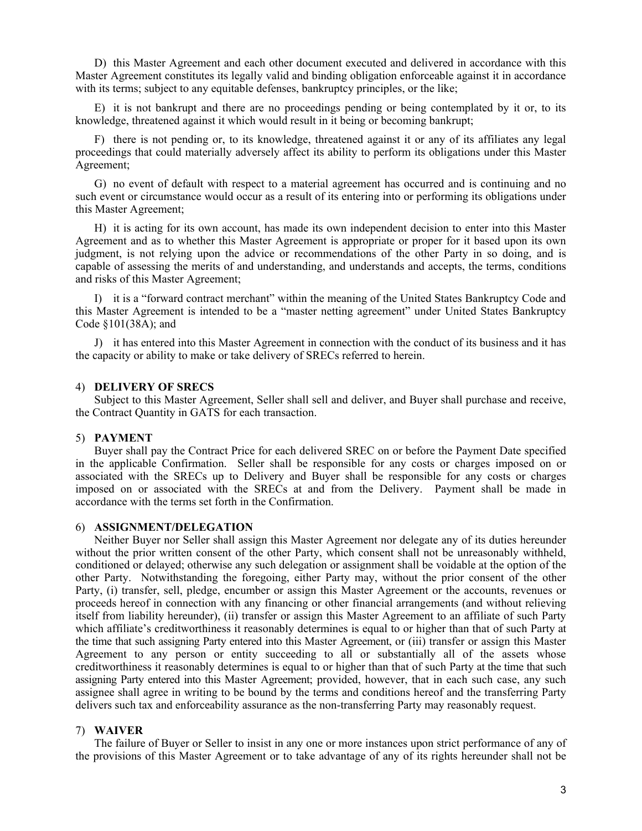D) this Master Agreement and each other document executed and delivered in accordance with this Master Agreement constitutes its legally valid and binding obligation enforceable against it in accordance with its terms; subject to any equitable defenses, bankruptcy principles, or the like;

E) it is not bankrupt and there are no proceedings pending or being contemplated by it or, to its knowledge, threatened against it which would result in it being or becoming bankrupt;

F) there is not pending or, to its knowledge, threatened against it or any of its affiliates any legal proceedings that could materially adversely affect its ability to perform its obligations under this Master Agreement;

G) no event of default with respect to a material agreement has occurred and is continuing and no such event or circumstance would occur as a result of its entering into or performing its obligations under this Master Agreement;

H) it is acting for its own account, has made its own independent decision to enter into this Master Agreement and as to whether this Master Agreement is appropriate or proper for it based upon its own judgment, is not relying upon the advice or recommendations of the other Party in so doing, and is capable of assessing the merits of and understanding, and understands and accepts, the terms, conditions and risks of this Master Agreement;

I) it is a "forward contract merchant" within the meaning of the United States Bankruptcy Code and this Master Agreement is intended to be a "master netting agreement" under United States Bankruptcy Code §101(38A); and

J) it has entered into this Master Agreement in connection with the conduct of its business and it has the capacity or ability to make or take delivery of SRECs referred to herein.

## 4) **DELIVERY OF SRECS**

Subject to this Master Agreement, Seller shall sell and deliver, and Buyer shall purchase and receive, the Contract Quantity in GATS for each transaction.

### 5) **PAYMENT**

Buyer shall pay the Contract Price for each delivered SREC on or before the Payment Date specified in the applicable Confirmation. Seller shall be responsible for any costs or charges imposed on or associated with the SRECs up to Delivery and Buyer shall be responsible for any costs or charges imposed on or associated with the SRECs at and from the Delivery. Payment shall be made in accordance with the terms set forth in the Confirmation.

### 6) **ASSIGNMENT/DELEGATION**

Neither Buyer nor Seller shall assign this Master Agreement nor delegate any of its duties hereunder without the prior written consent of the other Party, which consent shall not be unreasonably withheld, conditioned or delayed; otherwise any such delegation or assignment shall be voidable at the option of the other Party. Notwithstanding the foregoing, either Party may, without the prior consent of the other Party, (i) transfer, sell, pledge, encumber or assign this Master Agreement or the accounts, revenues or proceeds hereof in connection with any financing or other financial arrangements (and without relieving itself from liability hereunder), (ii) transfer or assign this Master Agreement to an affiliate of such Party which affiliate's creditworthiness it reasonably determines is equal to or higher than that of such Party at the time that such assigning Party entered into this Master Agreement, or (iii) transfer or assign this Master Agreement to any person or entity succeeding to all or substantially all of the assets whose creditworthiness it reasonably determines is equal to or higher than that of such Party at the time that such assigning Party entered into this Master Agreement; provided, however, that in each such case, any such assignee shall agree in writing to be bound by the terms and conditions hereof and the transferring Party delivers such tax and enforceability assurance as the non-transferring Party may reasonably request.

#### 7) **WAIVER**

The failure of Buyer or Seller to insist in any one or more instances upon strict performance of any of the provisions of this Master Agreement or to take advantage of any of its rights hereunder shall not be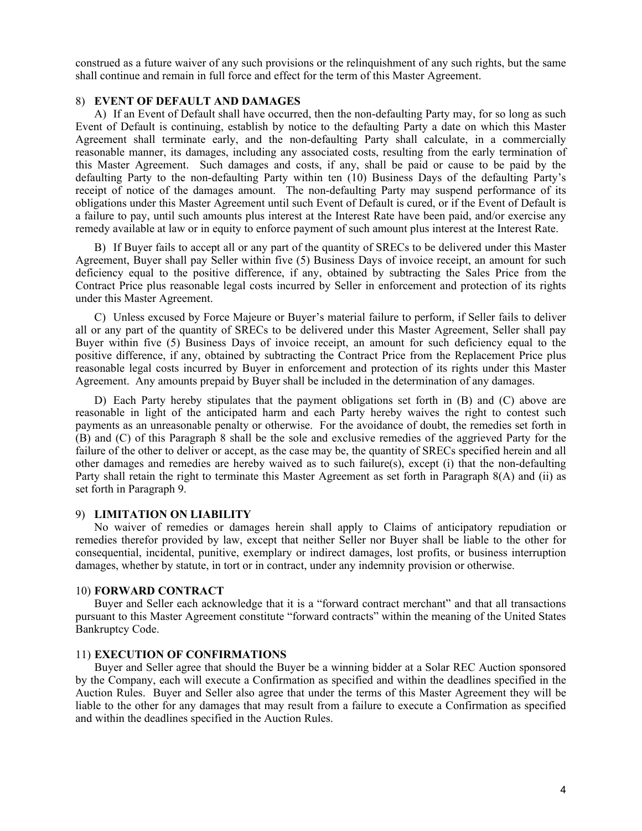construed as a future waiver of any such provisions or the relinquishment of any such rights, but the same shall continue and remain in full force and effect for the term of this Master Agreement.

## 8) **EVENT OF DEFAULT AND DAMAGES**

A) If an Event of Default shall have occurred, then the non-defaulting Party may, for so long as such Event of Default is continuing, establish by notice to the defaulting Party a date on which this Master Agreement shall terminate early, and the non-defaulting Party shall calculate, in a commercially reasonable manner, its damages, including any associated costs, resulting from the early termination of this Master Agreement. Such damages and costs, if any, shall be paid or cause to be paid by the defaulting Party to the non-defaulting Party within ten (10) Business Days of the defaulting Party's receipt of notice of the damages amount. The non-defaulting Party may suspend performance of its obligations under this Master Agreement until such Event of Default is cured, or if the Event of Default is a failure to pay, until such amounts plus interest at the Interest Rate have been paid, and/or exercise any remedy available at law or in equity to enforce payment of such amount plus interest at the Interest Rate.

B) If Buyer fails to accept all or any part of the quantity of SRECs to be delivered under this Master Agreement, Buyer shall pay Seller within five (5) Business Days of invoice receipt, an amount for such deficiency equal to the positive difference, if any, obtained by subtracting the Sales Price from the Contract Price plus reasonable legal costs incurred by Seller in enforcement and protection of its rights under this Master Agreement.

C) Unless excused by Force Majeure or Buyer's material failure to perform, if Seller fails to deliver all or any part of the quantity of SRECs to be delivered under this Master Agreement, Seller shall pay Buyer within five (5) Business Days of invoice receipt, an amount for such deficiency equal to the positive difference, if any, obtained by subtracting the Contract Price from the Replacement Price plus reasonable legal costs incurred by Buyer in enforcement and protection of its rights under this Master Agreement. Any amounts prepaid by Buyer shall be included in the determination of any damages.

D) Each Party hereby stipulates that the payment obligations set forth in (B) and (C) above are reasonable in light of the anticipated harm and each Party hereby waives the right to contest such payments as an unreasonable penalty or otherwise. For the avoidance of doubt, the remedies set forth in (B) and (C) of this Paragraph 8 shall be the sole and exclusive remedies of the aggrieved Party for the failure of the other to deliver or accept, as the case may be, the quantity of SRECs specified herein and all other damages and remedies are hereby waived as to such failure(s), except (i) that the non-defaulting Party shall retain the right to terminate this Master Agreement as set forth in Paragraph 8(A) and (ii) as set forth in Paragraph 9.

## 9) **LIMITATION ON LIABILITY**

No waiver of remedies or damages herein shall apply to Claims of anticipatory repudiation or remedies therefor provided by law, except that neither Seller nor Buyer shall be liable to the other for consequential, incidental, punitive, exemplary or indirect damages, lost profits, or business interruption damages, whether by statute, in tort or in contract, under any indemnity provision or otherwise.

# 10) **FORWARD CONTRACT**

Buyer and Seller each acknowledge that it is a "forward contract merchant" and that all transactions pursuant to this Master Agreement constitute "forward contracts" within the meaning of the United States Bankruptcy Code.

### 11) **EXECUTION OF CONFIRMATIONS**

Buyer and Seller agree that should the Buyer be a winning bidder at a Solar REC Auction sponsored by the Company, each will execute a Confirmation as specified and within the deadlines specified in the Auction Rules. Buyer and Seller also agree that under the terms of this Master Agreement they will be liable to the other for any damages that may result from a failure to execute a Confirmation as specified and within the deadlines specified in the Auction Rules.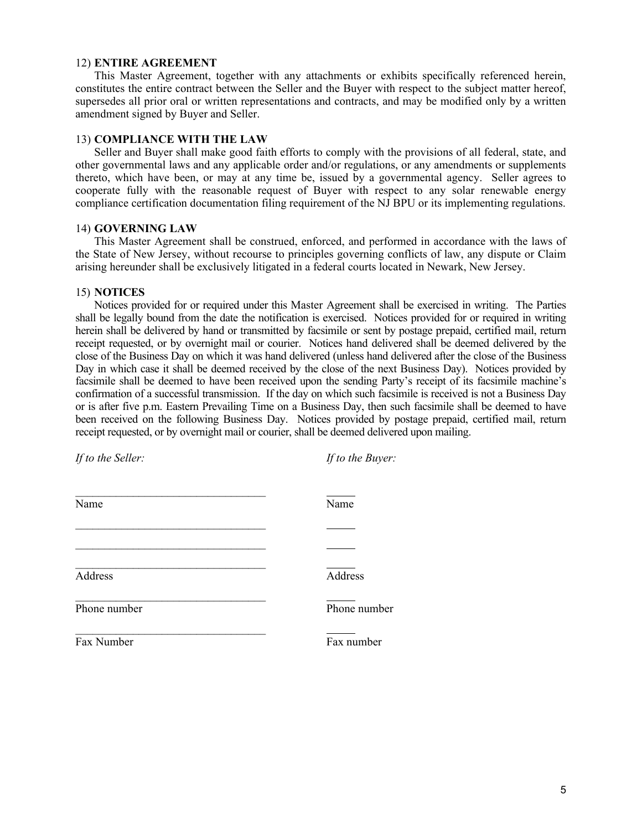### 12) **ENTIRE AGREEMENT**

This Master Agreement, together with any attachments or exhibits specifically referenced herein, constitutes the entire contract between the Seller and the Buyer with respect to the subject matter hereof, supersedes all prior oral or written representations and contracts, and may be modified only by a written amendment signed by Buyer and Seller.

## 13) **COMPLIANCE WITH THE LAW**

Seller and Buyer shall make good faith efforts to comply with the provisions of all federal, state, and other governmental laws and any applicable order and/or regulations, or any amendments or supplements thereto, which have been, or may at any time be, issued by a governmental agency. Seller agrees to cooperate fully with the reasonable request of Buyer with respect to any solar renewable energy compliance certification documentation filing requirement of the NJ BPU or its implementing regulations.

## 14) **GOVERNING LAW**

This Master Agreement shall be construed, enforced, and performed in accordance with the laws of the State of New Jersey, without recourse to principles governing conflicts of law, any dispute or Claim arising hereunder shall be exclusively litigated in a federal courts located in Newark, New Jersey.

## 15) **NOTICES**

Notices provided for or required under this Master Agreement shall be exercised in writing. The Parties shall be legally bound from the date the notification is exercised. Notices provided for or required in writing herein shall be delivered by hand or transmitted by facsimile or sent by postage prepaid, certified mail, return receipt requested, or by overnight mail or courier. Notices hand delivered shall be deemed delivered by the close of the Business Day on which it was hand delivered (unless hand delivered after the close of the Business Day in which case it shall be deemed received by the close of the next Business Day). Notices provided by facsimile shall be deemed to have been received upon the sending Party's receipt of its facsimile machine's confirmation of a successful transmission. If the day on which such facsimile is received is not a Business Day or is after five p.m. Eastern Prevailing Time on a Business Day, then such facsimile shall be deemed to have been received on the following Business Day. Notices provided by postage prepaid, certified mail, return receipt requested, or by overnight mail or courier, shall be deemed delivered upon mailing.

| If to the Seller: | If to the Buyer: |
|-------------------|------------------|
| Name              | Name             |
|                   |                  |
|                   |                  |
| Address           | Address          |
| Phone number      | Phone number     |
| Fax Number        | Fax number       |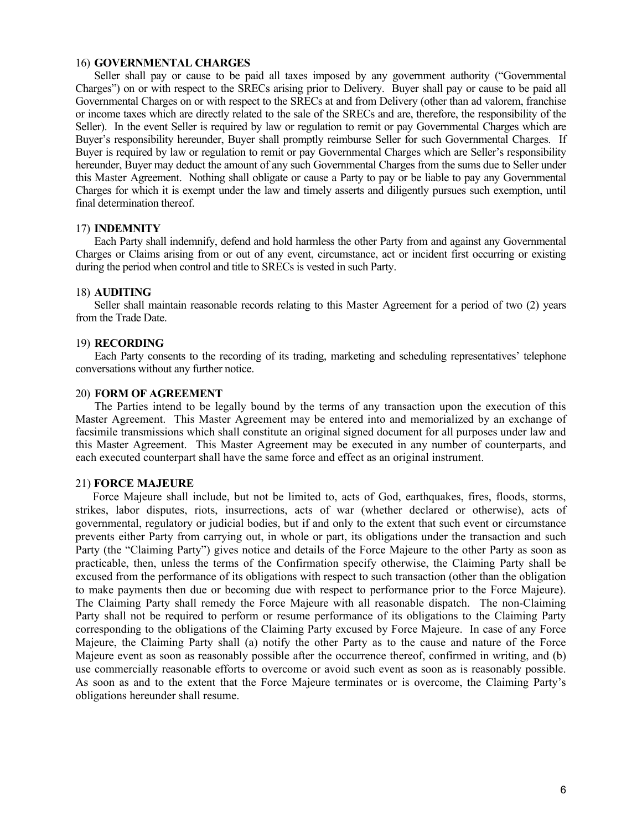### 16) **GOVERNMENTAL CHARGES**

Seller shall pay or cause to be paid all taxes imposed by any government authority ("Governmental Charges") on or with respect to the SRECs arising prior to Delivery. Buyer shall pay or cause to be paid all Governmental Charges on or with respect to the SRECs at and from Delivery (other than ad valorem, franchise or income taxes which are directly related to the sale of the SRECs and are, therefore, the responsibility of the Seller). In the event Seller is required by law or regulation to remit or pay Governmental Charges which are Buyer's responsibility hereunder, Buyer shall promptly reimburse Seller for such Governmental Charges. If Buyer is required by law or regulation to remit or pay Governmental Charges which are Seller's responsibility hereunder, Buyer may deduct the amount of any such Governmental Charges from the sums due to Seller under this Master Agreement. Nothing shall obligate or cause a Party to pay or be liable to pay any Governmental Charges for which it is exempt under the law and timely asserts and diligently pursues such exemption, until final determination thereof.

### 17) **INDEMNITY**

Each Party shall indemnify, defend and hold harmless the other Party from and against any Governmental Charges or Claims arising from or out of any event, circumstance, act or incident first occurring or existing during the period when control and title to SRECs is vested in such Party.

### 18) **AUDITING**

Seller shall maintain reasonable records relating to this Master Agreement for a period of two (2) years from the Trade Date.

### 19) **RECORDING**

Each Party consents to the recording of its trading, marketing and scheduling representatives' telephone conversations without any further notice.

### 20) **FORM OF AGREEMENT**

The Parties intend to be legally bound by the terms of any transaction upon the execution of this Master Agreement. This Master Agreement may be entered into and memorialized by an exchange of facsimile transmissions which shall constitute an original signed document for all purposes under law and this Master Agreement. This Master Agreement may be executed in any number of counterparts, and each executed counterpart shall have the same force and effect as an original instrument.

### 21) **FORCE MAJEURE**

 Force Majeure shall include, but not be limited to, acts of God, earthquakes, fires, floods, storms, strikes, labor disputes, riots, insurrections, acts of war (whether declared or otherwise), acts of governmental, regulatory or judicial bodies, but if and only to the extent that such event or circumstance prevents either Party from carrying out, in whole or part, its obligations under the transaction and such Party (the "Claiming Party") gives notice and details of the Force Majeure to the other Party as soon as practicable, then, unless the terms of the Confirmation specify otherwise, the Claiming Party shall be excused from the performance of its obligations with respect to such transaction (other than the obligation to make payments then due or becoming due with respect to performance prior to the Force Majeure). The Claiming Party shall remedy the Force Majeure with all reasonable dispatch. The non-Claiming Party shall not be required to perform or resume performance of its obligations to the Claiming Party corresponding to the obligations of the Claiming Party excused by Force Majeure. In case of any Force Majeure, the Claiming Party shall (a) notify the other Party as to the cause and nature of the Force Majeure event as soon as reasonably possible after the occurrence thereof, confirmed in writing, and (b) use commercially reasonable efforts to overcome or avoid such event as soon as is reasonably possible. As soon as and to the extent that the Force Majeure terminates or is overcome, the Claiming Party's obligations hereunder shall resume.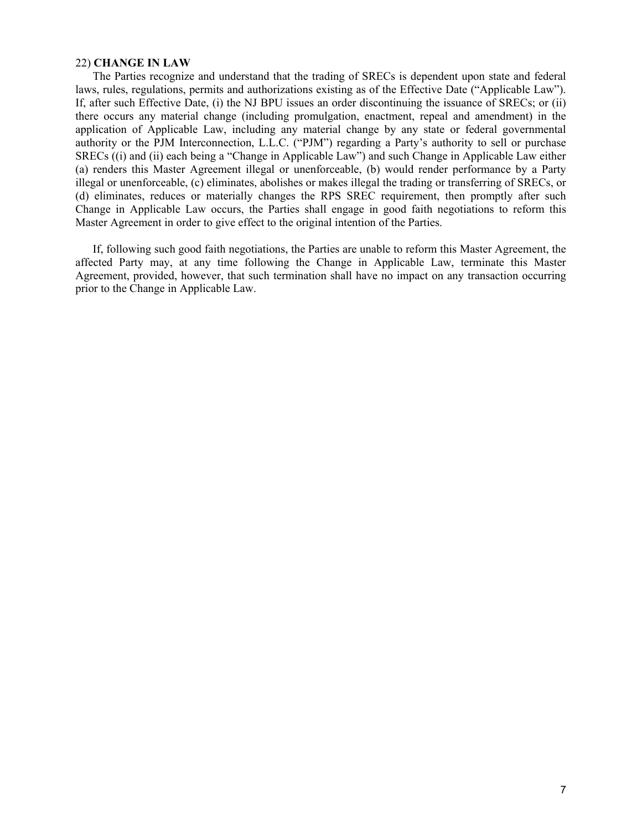### 22) **CHANGE IN LAW**

 The Parties recognize and understand that the trading of SRECs is dependent upon state and federal laws, rules, regulations, permits and authorizations existing as of the Effective Date ("Applicable Law"). If, after such Effective Date, (i) the NJ BPU issues an order discontinuing the issuance of SRECs; or (ii) there occurs any material change (including promulgation, enactment, repeal and amendment) in the application of Applicable Law, including any material change by any state or federal governmental authority or the PJM Interconnection, L.L.C. ("PJM") regarding a Party's authority to sell or purchase SRECs ((i) and (ii) each being a "Change in Applicable Law") and such Change in Applicable Law either (a) renders this Master Agreement illegal or unenforceable, (b) would render performance by a Party illegal or unenforceable, (c) eliminates, abolishes or makes illegal the trading or transferring of SRECs, or (d) eliminates, reduces or materially changes the RPS SREC requirement, then promptly after such Change in Applicable Law occurs, the Parties shall engage in good faith negotiations to reform this Master Agreement in order to give effect to the original intention of the Parties.

 If, following such good faith negotiations, the Parties are unable to reform this Master Agreement, the affected Party may, at any time following the Change in Applicable Law, terminate this Master Agreement, provided, however, that such termination shall have no impact on any transaction occurring prior to the Change in Applicable Law.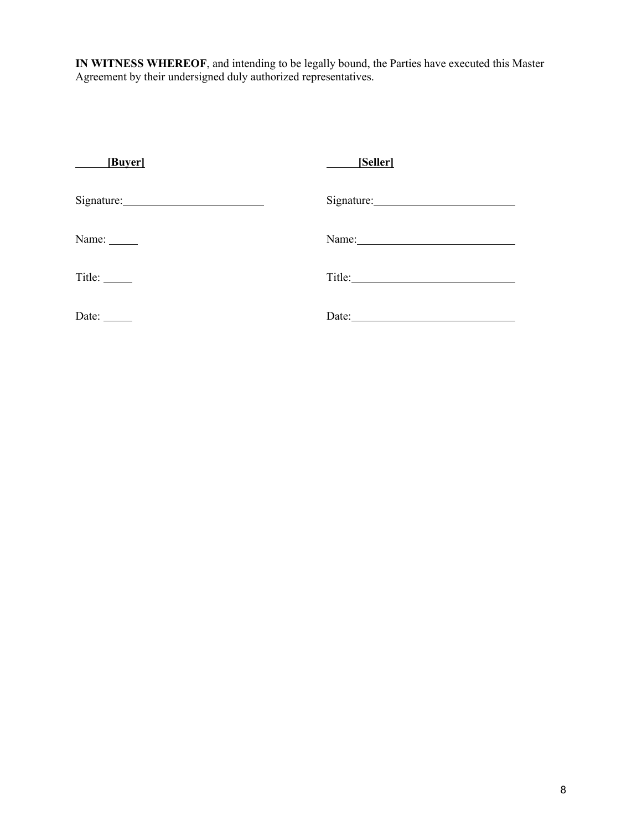**IN WITNESS WHEREOF**, and intending to be legally bound, the Parties have executed this Master Agreement by their undersigned duly authorized representatives.

| [Buyer]      | [Seller]   |
|--------------|------------|
|              |            |
| Name: ______ | Name: 1988 |
|              | Title:     |
| Date:        | Date:      |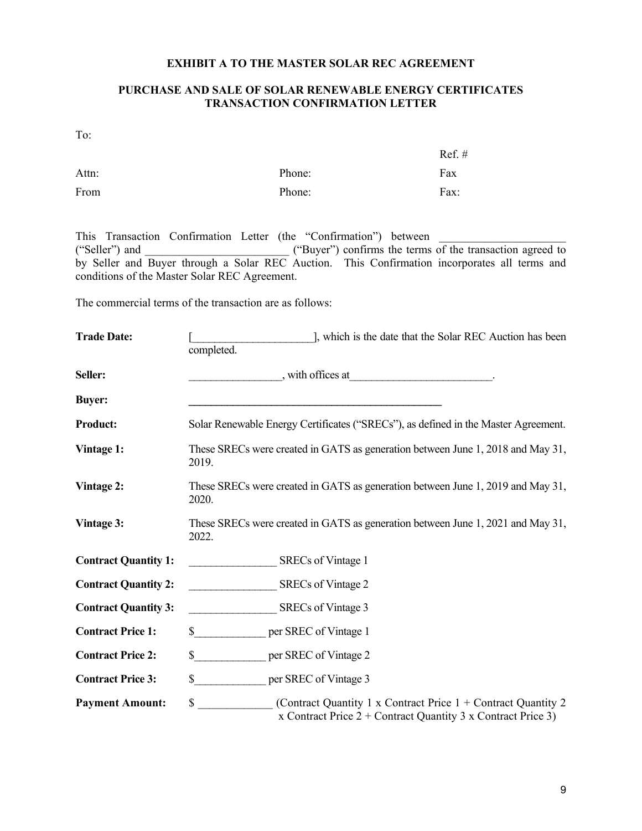# **EXHIBIT A TO THE MASTER SOLAR REC AGREEMENT**

# **PURCHASE AND SALE OF SOLAR RENEWABLE ENERGY CERTIFICATES TRANSACTION CONFIRMATION LETTER**

To:

|       |        | $Ref. \#$ |
|-------|--------|-----------|
| Attn: | Phone: | Fax       |
| From  | Phone: | Fax:      |

This Transaction Confirmation Letter (the "Confirmation") between ("Seller") and \_\_\_\_\_\_\_\_\_\_\_\_\_\_\_\_\_\_\_\_\_\_\_\_\_ ("Buyer") confirms the terms of the transaction agreed to by Seller and Buyer through a Solar REC Auction. This Confirmation incorporates all terms and conditions of the Master Solar REC Agreement.

The commercial terms of the transaction are as follows:

| <b>Trade Date:</b>          | ], which is the date that the Solar REC Auction has been<br>completed.                                                                  |  |
|-----------------------------|-----------------------------------------------------------------------------------------------------------------------------------------|--|
| Seller:                     |                                                                                                                                         |  |
| <b>Buyer:</b>               |                                                                                                                                         |  |
| <b>Product:</b>             | Solar Renewable Energy Certificates ("SRECs"), as defined in the Master Agreement.                                                      |  |
| Vintage 1:                  | These SRECs were created in GATS as generation between June 1, 2018 and May 31,<br>2019.                                                |  |
| Vintage 2:                  | These SRECs were created in GATS as generation between June 1, 2019 and May 31,<br>2020.                                                |  |
| Vintage 3:                  | These SRECs were created in GATS as generation between June 1, 2021 and May 31,<br>2022.                                                |  |
| <b>Contract Quantity 1:</b> | SRECs of Vintage 1                                                                                                                      |  |
| <b>Contract Quantity 2:</b> | SRECs of Vintage 2                                                                                                                      |  |
| <b>Contract Quantity 3:</b> | SRECs of Vintage 3                                                                                                                      |  |
| <b>Contract Price 1:</b>    | $\sim$<br>per SREC of Vintage 1                                                                                                         |  |
| <b>Contract Price 2:</b>    | \$<br>per SREC of Vintage 2                                                                                                             |  |
| <b>Contract Price 3:</b>    | \$<br>per SREC of Vintage 3                                                                                                             |  |
| <b>Payment Amount:</b>      | \$<br>(Contract Quantity 1 x Contract Price $1 +$ Contract Quantity 2<br>x Contract Price $2 +$ Contract Quantity 3 x Contract Price 3) |  |